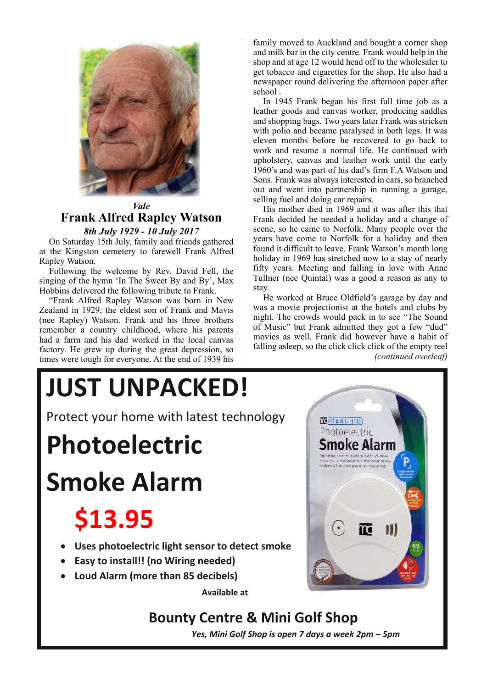

## *Vale* **Frank Alfred Rapley Watson** *8th July 1929 - 10 July 2017*

On Saturday 15th July, family and friends gathered at the Kingston cemetery to farewell Frank Alfred Rapley Watson. Saturday 15th July, family and friends gate<br>Kingston cemetery to farewell Frank  $\beta$ <br>w Watson

Following the welcome by Rev. David Fell, the since of the home (In The Speed December 2017) singing of the hymn 'In The Sweet By and By', Max Hobbins delivered the following tribute to Frank.

"Frank Alfred Rapley Watson was born in New Zealand in 1929, the eldest son of Frank and Mavis (nee Rapley) Watson. Frank and his three brothers remember a country childhood, where his parents had a farm and his dad worked in the local canvas factory. He grew up during the great depression, so times were tough for everyone. At the end of 1939 his family moved to Auckland and bought a corner shop and milk bar in the city centre. Frank would help in the shop and at age 12 would head off to the wholesaler to get tobacco and cigarettes for the shop. He also had a newspaper round delivering the afternoon paper after school .

In 1945 Frank began his first full time job as a leather goods and canvas worker, producing saddles and shopping bags. Two years later Frank was stricken with polio and became paralysed in both legs. It was eleven months before he recovered to go back to work and resume a normal life. He continued with upholstery, canvas and leather work until the early 1960's and was part of his dad's firm F.A Watson and Sons. Frank was always interested in cars, so branched out and went into partnership in running a garage, selling fuel and doing car repairs.

His mother died in 1969 and it was after this that Frank decided he needed a holiday and a change of scene, so he came to Norfolk. Many people over the years have come to Norfolk for a holiday and then found it difficult to leave. Frank Watson's month long holiday in 1969 has stretched now to a stay of nearly fifty years. Meeting and falling in love with Anne Tullner (nee Quintal) was a good a reason as any to stay.

He worked at Bruce Oldfield's garage by day and was a movie projectionist at the hotels and clubs by night. The crowds would pack in to see "The Sound of Music" but Frank admitted they got a few "dud" movies as well. Frank did however have a habit of falling asleep, so the click click click of the empty reel *(continued overleaf)*

# **JUST UNPACKED!**

Protect your home with latest technology

**Photoelectric**

**Smoke Alarm**

## **\$13.95**

- **Uses photoelectric light sensor to detect smoke**
- **Easy to install!! (no Wiring needed)**
- **Loud Alarm (more than 85 decibels)**

**Available at** 

## **Bounty Centre & Mini Golf Shop**

*Yes, Mini Golf Shop is open 7 days a week 2pm – 5pm*